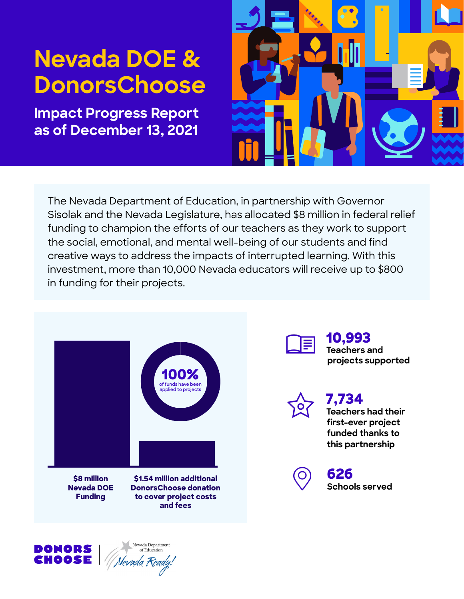# **Nevada DOE & DonorsChoose**

**Impact Progress Report as of December 13, 2021** 



The Nevada Department of Education, in partnership with Governor Sisolak and the Nevada Legislature, has allocated \$8 million in federal relief funding to champion the efforts of our teachers as they work to support the social, emotional, and mental well-being of our students and find creative ways to address the impacts of interrupted learning. With this investment, more than 10,000 Nevada educators will receive up to \$800 in funding for their projects.

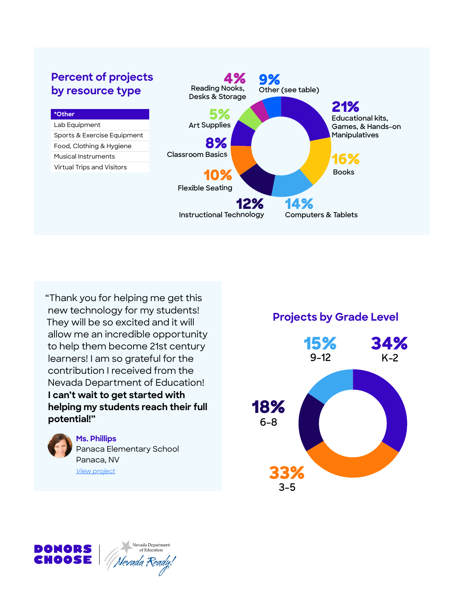# **Percent of projects**<br> **by resource type**<br> **e** Reading Nooks, Other (see table) **by resource type**



"Thank you for helping me get this new technology for my students! **Projects by Grade Level** They will be so excited and it will allow me an incredible opportunity learners! I am so grateful for the contribution I received from the Nevada Department of Education! **I can't wait to get started with helping my students reach their full 18% potential!" 6-8** 



### **Ms. Phillips**

Panaca Elementary School Panaca, NV